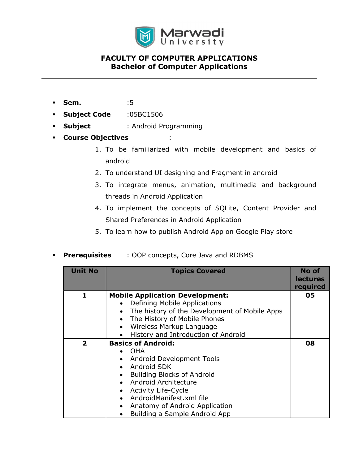

- **Sem.** :5
- Subject Code :05BC1506
- **Subject** : Android Programming
- Course Objectives :
	- 1. To be familiarized with mobile development and basics of android
	- 2. To understand UI designing and Fragment in android
	- 3. To integrate menus, animation, multimedia and background threads in Android Application
	- 4. To implement the concepts of SQLite, Content Provider and Shared Preferences in Android Application
	- 5. To learn how to publish Android App on Google Play store
- **Prerequisites** : OOP concepts, Core Java and RDBMS

| <b>Unit No</b> | <b>Topics Covered</b>                                                                                                                                                                                                                                                                                                                                                                     | No of<br><b>lectures</b><br>required |
|----------------|-------------------------------------------------------------------------------------------------------------------------------------------------------------------------------------------------------------------------------------------------------------------------------------------------------------------------------------------------------------------------------------------|--------------------------------------|
| 1.             | <b>Mobile Application Development:</b><br>Defining Mobile Applications<br>$\bullet$                                                                                                                                                                                                                                                                                                       | 05                                   |
|                | The history of the Development of Mobile Apps<br>$\bullet$<br>The History of Mobile Phones<br>$\bullet$<br>Wireless Markup Language<br>$\bullet$<br>History and Introduction of Android<br>$\bullet$                                                                                                                                                                                      |                                      |
| $\mathbf{2}$   | <b>Basics of Android:</b><br><b>OHA</b><br>$\bullet$<br><b>Android Development Tools</b><br>٠<br>Android SDK<br>$\bullet$<br><b>Building Blocks of Android</b><br>٠<br>Android Architecture<br>$\bullet$<br><b>Activity Life-Cycle</b><br>$\bullet$<br>AndroidManifest.xml file<br>$\bullet$<br>Anatomy of Android Application<br>$\bullet$<br>Building a Sample Android App<br>$\bullet$ | 08                                   |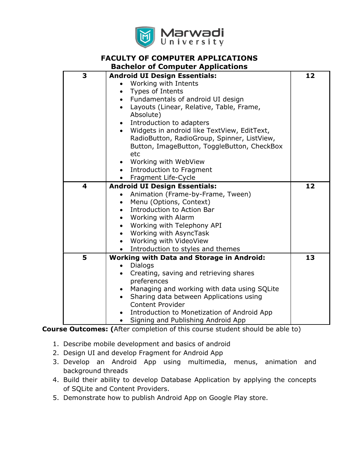

# FACULTY OF COMPUTER APPLICATIONS

## Bachelor of Computer Applications

| 3 | <b>Android UI Design Essentials:</b>                     | 12 |
|---|----------------------------------------------------------|----|
|   | Working with Intents                                     |    |
|   | Types of Intents<br>$\bullet$                            |    |
|   | • Fundamentals of android UI design                      |    |
|   | Layouts (Linear, Relative, Table, Frame,<br>$\bullet$    |    |
|   | Absolute)                                                |    |
|   | Introduction to adapters                                 |    |
|   | Widgets in android like TextView, EditText,              |    |
|   | RadioButton, RadioGroup, Spinner, ListView,              |    |
|   | Button, ImageButton, ToggleButton, CheckBox              |    |
|   | etc                                                      |    |
|   | Working with WebView                                     |    |
|   | Introduction to Fragment<br>$\bullet$                    |    |
|   | Fragment Life-Cycle                                      |    |
| 4 | <b>Android UI Design Essentials:</b>                     | 12 |
|   | Animation (Frame-by-Frame, Tween)                        |    |
|   | Menu (Options, Context)                                  |    |
|   | Introduction to Action Bar                               |    |
|   | Working with Alarm                                       |    |
|   | Working with Telephony API                               |    |
|   | Working with AsyncTask<br>$\bullet$                      |    |
|   | Working with VideoView<br>$\bullet$                      |    |
|   | Introduction to styles and themes                        |    |
| 5 | <b>Working with Data and Storage in Android:</b>         | 13 |
|   | <b>Dialogs</b>                                           |    |
|   | Creating, saving and retrieving shares                   |    |
|   | preferences                                              |    |
|   | Managing and working with data using SQLite<br>$\bullet$ |    |
|   | Sharing data between Applications using                  |    |
|   | <b>Content Provider</b>                                  |    |
|   | Introduction to Monetization of Android App              |    |
|   | Signing and Publishing Android App<br>$\bullet$          |    |

Course Outcomes: (After completion of this course student should be able to)

- 1. Describe mobile development and basics of android
- 2. Design UI and develop Fragment for Android App
- 3. Develop an Android App using multimedia, menus, animation and background threads
- 4. Build their ability to develop Database Application by applying the concepts of SQLite and Content Providers.
- 5. Demonstrate how to publish Android App on Google Play store.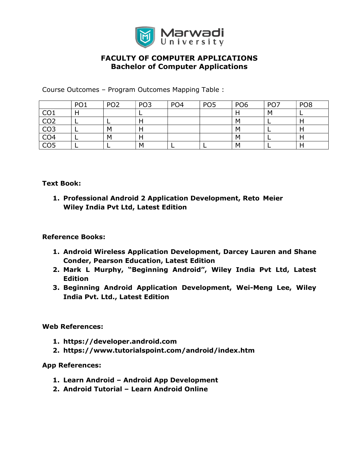

Course Outcomes – Program Outcomes Mapping Table :

|                 | PO <sub>1</sub> | PO <sub>2</sub> | PO <sub>3</sub> | PO <sub>4</sub> | PO <sub>5</sub> | PO <sub>6</sub> | PO <sub>7</sub> | PO <sub>8</sub> |
|-----------------|-----------------|-----------------|-----------------|-----------------|-----------------|-----------------|-----------------|-----------------|
| CO <sub>1</sub> |                 |                 |                 |                 |                 |                 | м               |                 |
| CO <sub>2</sub> |                 |                 | Н               |                 |                 | M               |                 |                 |
| CO <sub>3</sub> |                 | м               | н               |                 |                 | м               |                 |                 |
| CO <sub>4</sub> |                 | м               | H               |                 |                 | M               |                 |                 |
| CO <sub>5</sub> |                 |                 | M               |                 |                 | M               |                 |                 |

### Text Book:

1. Professional Android 2 Application Development, Reto Meier Wiley India Pvt Ltd, Latest Edition

## Reference Books:

- 1. Android Wireless Application Development, Darcey Lauren and Shane Conder, Pearson Education, Latest Edition
- 2. Mark L Murphy, "Beginning Android", Wiley India Pvt Ltd, Latest **Edition**
- 3. Beginning Android Application Development, Wei-Meng Lee, Wiley India Pvt. Ltd., Latest Edition

## Web References:

- 1. https://developer.android.com
- 2. https://www.tutorialspoint.com/android/index.htm

#### App References:

- 1. Learn Android Android App Development
- 2. Android Tutorial Learn Android Online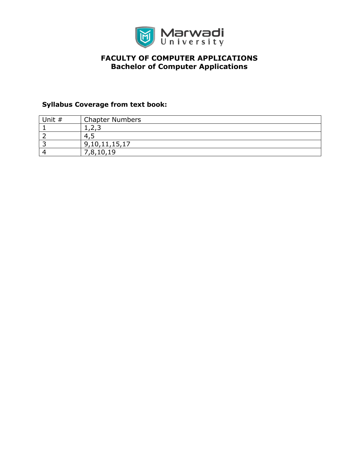

## Syllabus Coverage from text book:

| Unit # | <b>Chapter Numbers</b> |
|--------|------------------------|
|        | .                      |
|        | 4.1                    |
|        | 9,10,11,15,17          |
|        | 7,8,10,19              |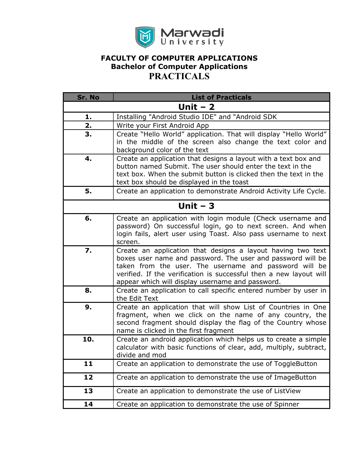

| Sr. No    | <b>List of Practicals</b>                                                                                                                                                                                                                                                                                      |  |
|-----------|----------------------------------------------------------------------------------------------------------------------------------------------------------------------------------------------------------------------------------------------------------------------------------------------------------------|--|
| Unit $-2$ |                                                                                                                                                                                                                                                                                                                |  |
| 1.        | Installing "Android Studio IDE" and "Android SDK                                                                                                                                                                                                                                                               |  |
| 2.        | Write your First Android App                                                                                                                                                                                                                                                                                   |  |
| 3.        | Create "Hello World" application. That will display "Hello World"<br>in the middle of the screen also change the text color and<br>background color of the text                                                                                                                                                |  |
| 4.        | Create an application that designs a layout with a text box and<br>button named Submit. The user should enter the text in the<br>text box. When the submit button is clicked then the text in the<br>text box should be displayed in the toast                                                                 |  |
| 5.        | Create an application to demonstrate Android Activity Life Cycle.                                                                                                                                                                                                                                              |  |
| Unit $-3$ |                                                                                                                                                                                                                                                                                                                |  |
| 6.        | Create an application with login module (Check username and<br>password) On successful login, go to next screen. And when<br>login fails, alert user using Toast. Also pass username to next<br>screen.                                                                                                        |  |
| 7.        | Create an application that designs a layout having two text<br>boxes user name and password. The user and password will be<br>taken from the user. The username and password will be<br>verified. If the verification is successful then a new layout will<br>appear which will display username and password. |  |
| 8.        | Create an application to call specific entered number by user in<br>the Edit Text                                                                                                                                                                                                                              |  |
| 9.        | Create an application that will show List of Countries in One<br>fragment, when we click on the name of any country, the<br>second fragment should display the flag of the Country whose<br>name is clicked in the first fragment                                                                              |  |
| 10.       | Create an android application which helps us to create a simple<br>calculator with basic functions of clear, add, multiply, subtract,<br>divide and mod                                                                                                                                                        |  |
| 11        | Create an application to demonstrate the use of ToggleButton                                                                                                                                                                                                                                                   |  |
| 12        | Create an application to demonstrate the use of ImageButton                                                                                                                                                                                                                                                    |  |
| 13        | Create an application to demonstrate the use of ListView                                                                                                                                                                                                                                                       |  |
| 14        | Create an application to demonstrate the use of Spinner                                                                                                                                                                                                                                                        |  |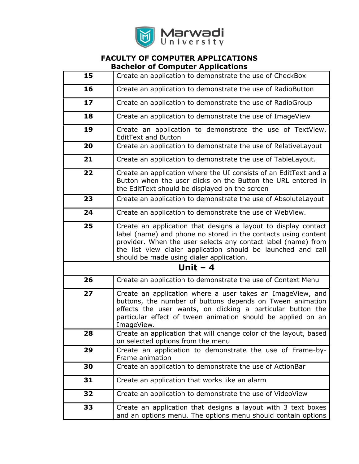

| 15 | Create an application to demonstrate the use of CheckBox                                                                                                                                                                                                                                                      |  |
|----|---------------------------------------------------------------------------------------------------------------------------------------------------------------------------------------------------------------------------------------------------------------------------------------------------------------|--|
| 16 | Create an application to demonstrate the use of RadioButton                                                                                                                                                                                                                                                   |  |
| 17 | Create an application to demonstrate the use of RadioGroup                                                                                                                                                                                                                                                    |  |
| 18 | Create an application to demonstrate the use of ImageView                                                                                                                                                                                                                                                     |  |
| 19 | Create an application to demonstrate the use of TextView,<br><b>EditText and Button</b>                                                                                                                                                                                                                       |  |
| 20 | Create an application to demonstrate the use of RelativeLayout                                                                                                                                                                                                                                                |  |
| 21 | Create an application to demonstrate the use of TableLayout.                                                                                                                                                                                                                                                  |  |
| 22 | Create an application where the UI consists of an EditText and a<br>Button when the user clicks on the Button the URL entered in<br>the EditText should be displayed on the screen                                                                                                                            |  |
| 23 | Create an application to demonstrate the use of AbsoluteLayout                                                                                                                                                                                                                                                |  |
| 24 | Create an application to demonstrate the use of WebView.                                                                                                                                                                                                                                                      |  |
| 25 | Create an application that designs a layout to display contact<br>label (name) and phone no stored in the contacts using content<br>provider. When the user selects any contact label (name) from<br>the list view dialer application should be launched and call<br>should be made using dialer application. |  |
|    | Unit $-4$                                                                                                                                                                                                                                                                                                     |  |
| 26 | Create an application to demonstrate the use of Context Menu                                                                                                                                                                                                                                                  |  |
| 27 | Create an application where a user takes an ImageView, and<br>buttons, the number of buttons depends on Tween animation<br>effects the user wants, on clicking a particular button the<br>particular effect of tween animation should be applied on an<br>ImageView.                                          |  |
| 28 | Create an application that will change color of the layout, based<br>on selected options from the menu                                                                                                                                                                                                        |  |
| 29 | Create an application to demonstrate the use of Frame-by-<br>Frame animation                                                                                                                                                                                                                                  |  |
| 30 | Create an application to demonstrate the use of ActionBar                                                                                                                                                                                                                                                     |  |
| 31 | Create an application that works like an alarm                                                                                                                                                                                                                                                                |  |
| 32 | Create an application to demonstrate the use of VideoView                                                                                                                                                                                                                                                     |  |
| 33 | Create an application that designs a layout with 3 text boxes<br>and an options menu. The options menu should contain options                                                                                                                                                                                 |  |